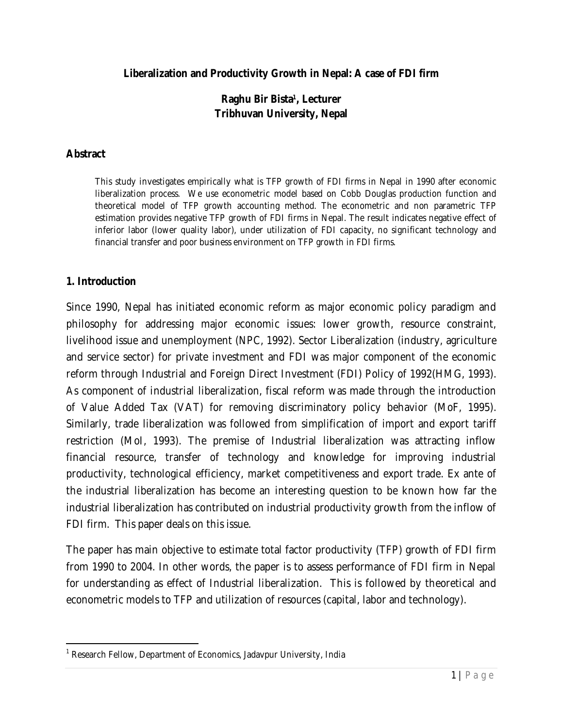#### **Liberalization and Productivity Growth in Nepal: A case of FDI firm**

### **Raghu Bir Bista<sup>1</sup> , Lecturer Tribhuvan University, Nepal**

#### **Abstract**

*This study investigates empirically what is TFP growth of FDI firms in Nepal in 1990 after economic liberalization process. We use econometric model based on Cobb Douglas production function and theoretical model of TFP growth accounting method. The econometric and non parametric TFP*  estimation provides negative TFP growth of FDI firms in Nepal. The result indicates negative effect of *inferior labor (lower quality labor), under utilization of FDI capacity, no significant technology and financial transfer and poor business environment on TFP growth in FDI firms.* 

#### **1. Introduction**

 $\overline{\phantom{a}}$ 

Since 1990, Nepal has initiated economic reform as major economic policy paradigm and philosophy for addressing major economic issues: lower growth, resource constraint, livelihood issue and unemployment (NPC, 1992). Sector Liberalization (industry, agriculture and service sector) for private investment and FDI was major component of the economic reform through Industrial and Foreign Direct Investment (FDI) Policy of 1992(HMG, 1993). As component of industrial liberalization, fiscal reform was made through the introduction of Value Added Tax (VAT) for removing discriminatory policy behavior (MoF, 1995). Similarly, trade liberalization was followed from simplification of import and export tariff restriction (MoI, 1993). The premise of Industrial liberalization was attracting *inflow financial resource, transfer of technology and knowledge* for improving *industrial productivity, technological efficiency, market competitiveness and export trade*. Ex ante of the industrial liberalization has become an interesting question to be known how far the industrial liberalization has contributed on industrial productivity growth from the inflow of FDI firm. This paper deals on this issue.

The paper has main objective to estimate total factor productivity (TFP) growth of FDI firm from 1990 to 2004. In other words, the paper is to assess performance of FDI firm in Nepal for understanding as effect of Industrial liberalization. This is followed by theoretical and econometric models to TFP and utilization of resources (capital, labor and technology).

<sup>&</sup>lt;sup>1</sup> Research Fellow, Department of Economics, Jadavpur University, India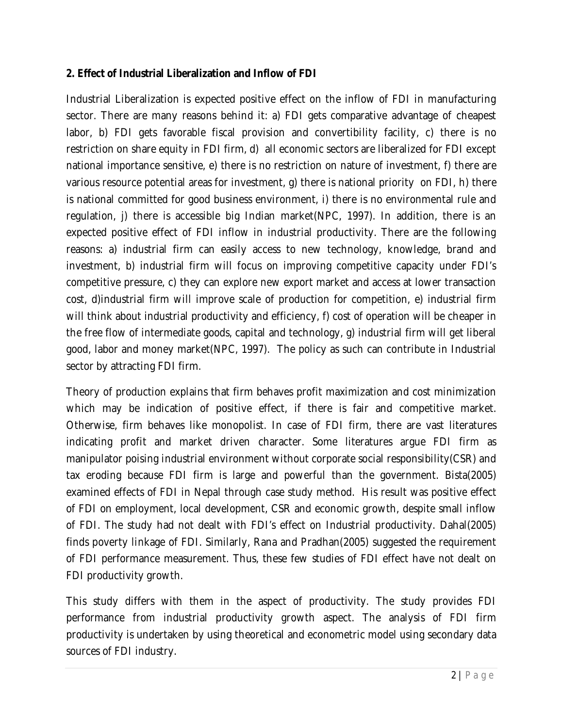### **2. Effect of Industrial Liberalization and Inflow of FDI**

Industrial Liberalization is expected positive effect on the inflow of FDI in manufacturing sector. There are many reasons behind it: a) FDI gets comparative advantage of cheapest labor, b) FDI gets favorable fiscal provision and convertibility facility, c) there is no restriction on share equity in FDI firm, d) all economic sectors are liberalized for FDI except national importance sensitive, e) there is no restriction on nature of investment, f) there are various resource potential areas for investment, g) there is national priority on FDI, h) there is national committed for good business environment, i) there is no environmental rule and regulation, j) there is accessible big Indian market(NPC, 1997). In addition, there is an expected positive effect of FDI inflow in industrial productivity. There are the following reasons: a) industrial firm can easily access to new technology, knowledge, brand and investment, b) industrial firm will focus on improving competitive capacity under FDI's competitive pressure, c) they can explore new export market and access at lower transaction cost, d)industrial firm will improve scale of production for competition, e) industrial firm will think about industrial productivity and efficiency, f) cost of operation will be cheaper in the free flow of intermediate goods, capital and technology, g) industrial firm will get liberal good, labor and money market(NPC, 1997). The policy as such can contribute in Industrial sector by attracting FDI firm.

Theory of production explains that firm behaves profit maximization and cost minimization which may be indication of positive effect, if there is fair and competitive market. Otherwise, firm behaves like monopolist. In case of FDI firm, there are vast literatures indicating *profit and market driven* character. Some literatures argue FDI firm as manipulator poising industrial environment without corporate social responsibility(CSR) and tax eroding because FDI firm is large and powerful than the government. Bista(2005) examined effects of FDI in Nepal through case study method. His result was positive effect of FDI on employment, local development, CSR and economic growth, despite small inflow of FDI. The study had not dealt with FDI's effect on Industrial productivity. Dahal(2005) finds poverty linkage of FDI. Similarly, Rana and Pradhan(2005) suggested the requirement of FDI performance measurement. Thus, these few studies of FDI effect have not dealt on FDI productivity growth.

This study differs with them in the aspect of productivity. The study provides FDI performance from industrial productivity growth aspect. The analysis of FDI firm productivity is undertaken by using theoretical and econometric model using secondary data sources of FDI industry.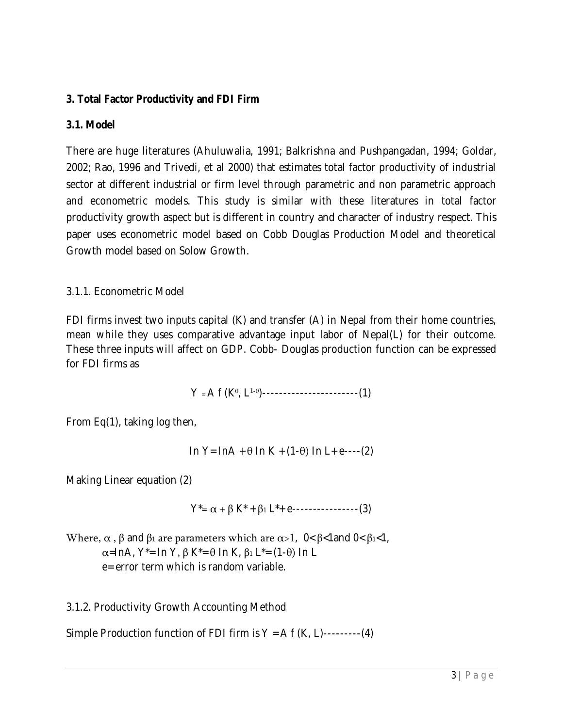# **3. Total Factor Productivity and FDI Firm**

# **3.1. Model**

There are huge literatures (Ahuluwalia, 1991; Balkrishna and Pushpangadan, 1994; Goldar, 2002; Rao, 1996 and Trivedi, *et al* 2000) that estimates total factor productivity of industrial sector at different industrial or firm level through parametric and non parametric approach and econometric models. This study is similar with these literatures in total factor productivity growth aspect but is different in country and character of industry respect. This paper uses econometric model based on Cobb Douglas Production Model and theoretical Growth model based on Solow Growth.

### 3.1.1. Econometric Model

FDI firms invest two inputs capital (K) and transfer (A) in Nepal from their home countries, mean while they uses comparative advantage input labor of Nepal(L) for their outcome. These three inputs will affect on GDP. Cobb- Douglas production function can be expressed for FDI firms as

Y <sup>=</sup> A f (K<sup>θ</sup> , L1-<sup>θ</sup> )-----------------------(1)

From Eq(1), taking log then,

In Y= InA + θ In K + (1-θ) In L+ e----(2)

Making Linear equation (2)

 $Y^* = \alpha + \beta K^* + \beta_1 L^* + e$ ----------------(3)

Where,  $\alpha$ ,  $\beta$  and  $\beta_1$  are parameters which are  $\alpha$ >1, 0<  $\beta$ < 1 and 0<  $\beta_1$ <1, α=InA, Y\*= In Y, β K\*= θ In K, β<sup>1</sup> L\*= (1-θ) In L e= error term which is random variable.

3.1.2. Productivity Growth Accounting Method

Simple Production function of FDI firm is  $Y = Af(K, L)$ ---------(4)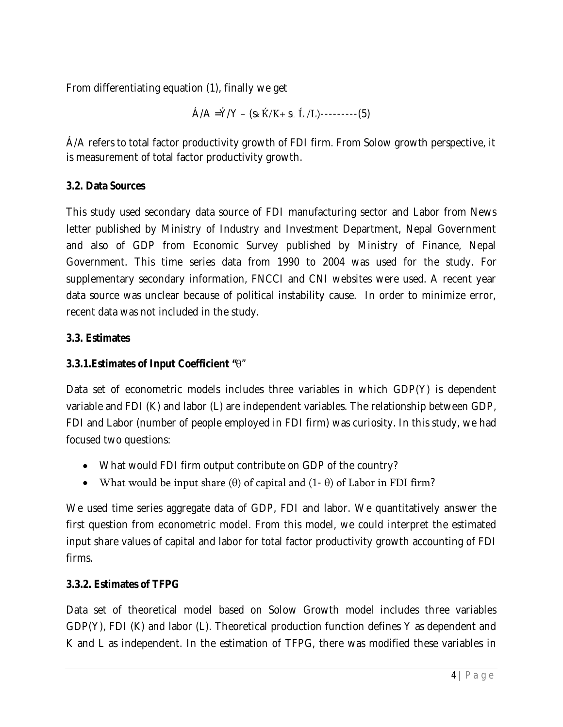From differentiating equation (1), finally we get

$$
\hat{A}/A = \hat{Y}/Y - (s_k \hat{K}/K + s_L \hat{L}/L) \cdot \cdot \cdot \cdot \cdot (5)
$$

Á/A refers to total factor productivity growth of FDI firm. From Solow growth perspective, it is measurement of total factor productivity growth.

# **3.2. Data Sources**

This study used secondary data source of FDI manufacturing sector and Labor from News letter published by Ministry of Industry and Investment Department, Nepal Government and also of GDP from Economic Survey published by Ministry of Finance, Nepal Government. This time series data from 1990 to 2004 was used for the study. For supplementary secondary information, FNCCI and CNI websites were used. A recent year data source was unclear because of political instability cause. In order to minimize error, recent data was not included in the study.

# **3.3. Estimates**

# **3.3.1.Estimates of Input Coefficient "**θ"

Data set of econometric models includes three variables in which GDP(Y) is dependent variable and FDI (K) and labor (L) are independent variables. The relationship between GDP, FDI and Labor (number of people employed in FDI firm) was curiosity. In this study, we had focused two questions:

- What would FDI firm output contribute on GDP of the country?
- What would be input share  $(\theta)$  of capital and  $(1 \theta)$  of Labor in FDI firm?

We used time series aggregate data of GDP, FDI and labor. We quantitatively answer the first question from econometric model. From this model, we could interpret the estimated input share values of capital and labor for total factor productivity growth accounting of FDI firms.

# **3.3.2. Estimates of TFPG**

Data set of theoretical model based on Solow Growth model includes three variables GDP(Y), FDI (K) and labor (L). Theoretical production function defines Y as dependent and K and L as independent. In the estimation of TFPG, there was modified these variables in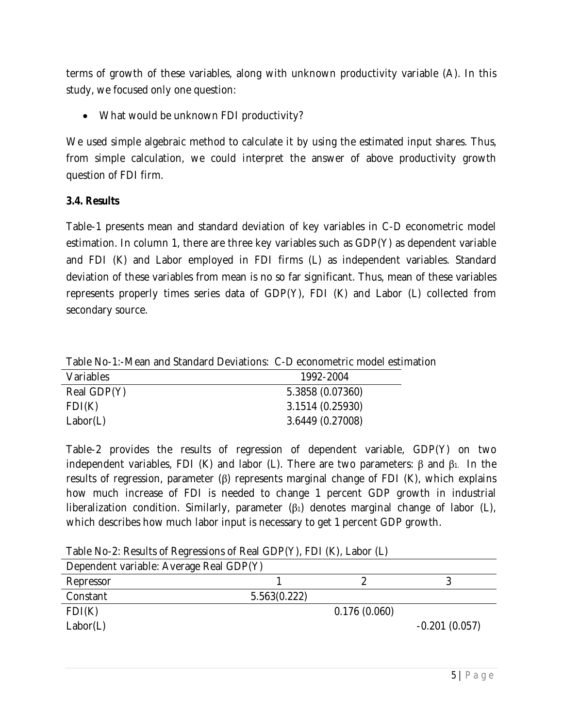terms of growth of these variables, along with unknown productivity variable (A). In this study, we focused only one question:

What would be unknown FDI productivity?

We used simple algebraic method to calculate it by using the estimated input shares. Thus, from simple calculation, we could interpret the answer of above productivity growth question of FDI firm.

### **3.4. Results**

Table-1 presents mean and standard deviation of key variables in C-D econometric model estimation. In column 1, there are three key variables such as GDP(Y) as dependent variable and FDI (K) and Labor employed in FDI firms (L) as independent variables. Standard deviation of these variables from mean is no so far significant. Thus, mean of these variables represents properly times series data of GDP(Y), FDI (K) and Labor (L) collected from secondary source.

Table No-1:-Mean and Standard Deviations: C-D econometric model estimation

| Variables   | 1992-2004        |
|-------------|------------------|
| Real GDP(Y) | 5.3858 (0.07360) |
| FDI(K)      | 3.1514 (0.25930) |
| Labor(L)    | 3.6449 (0.27008) |

Table-2 provides the results of regression of dependent variable, GDP(Y) on two independent variables, FDI (K) and labor (L). There are two parameters: β and β<sub>1</sub>. In the results of regression, parameter (β) represents marginal change of FDI (K), which explains how much increase of FDI is needed to change 1 percent GDP growth in industrial liberalization condition. Similarly, parameter  $(β<sub>1</sub>)$  denotes marginal change of labor  $(L)$ , which describes how much labor input is necessary to get 1 percent GDP growth.

Table No-2: Results of Regressions of Real GDP(Y), FDI (K), Labor (L)

| Dependent variable: Average Real GDP(Y) |              |              |                 |
|-----------------------------------------|--------------|--------------|-----------------|
| Repressor                               |              |              |                 |
| Constant                                | 5.563(0.222) |              |                 |
| FDI(K)                                  |              | 0.176(0.060) |                 |
| Labor(L)                                |              |              | $-0.201(0.057)$ |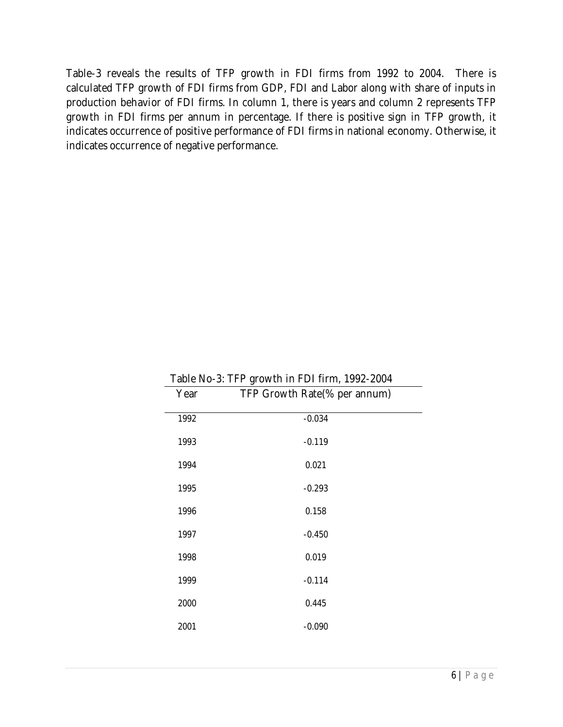Table-3 reveals the results of TFP growth in FDI firms from 1992 to 2004. There is calculated TFP growth of FDI firms from GDP, FDI and Labor along with share of inputs in production behavior of FDI firms. In column 1, there is years and column 2 represents TFP growth in FDI firms per annum in percentage. If there is positive sign in TFP growth, it indicates occurrence of positive performance of FDI firms in national economy. Otherwise, it indicates occurrence of negative performance.

| Table No-3: TFP growth in FDI firm, 1992-2004 |                              |  |
|-----------------------------------------------|------------------------------|--|
| Year                                          | TFP Growth Rate(% per annum) |  |
| 1992                                          | $-0.034$                     |  |
| 1993                                          | $-0.119$                     |  |
| 1994                                          | 0.021                        |  |
| 1995                                          | $-0.293$                     |  |
| 1996                                          | 0.158                        |  |
| 1997                                          | $-0.450$                     |  |
| 1998                                          | 0.019                        |  |
| 1999                                          | $-0.114$                     |  |
| 2000                                          | 0.445                        |  |
| 2001                                          | $-0.090$                     |  |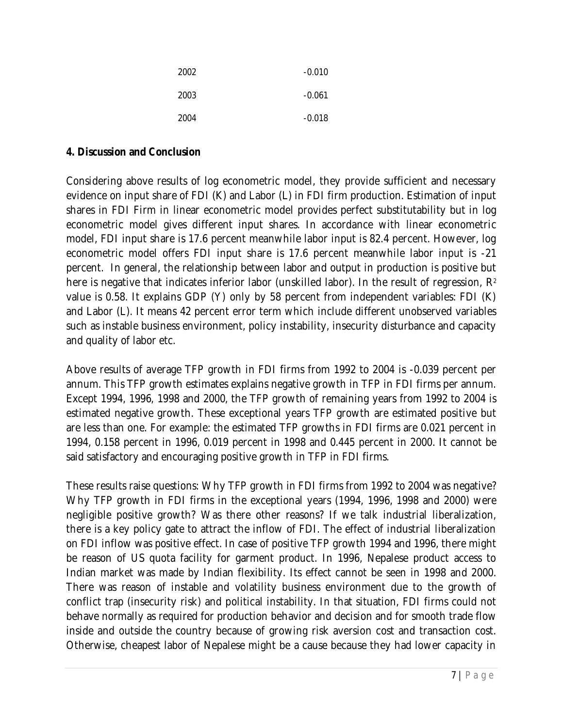| 2002 | $-0.010$ |
|------|----------|
| 2003 | $-0.061$ |
| 2004 | $-0.018$ |

#### **4. Discussion and Conclusion**

Considering above results of log econometric model, they provide sufficient and necessary evidence on input share of FDI (K) and Labor (L) in FDI firm production. Estimation of input shares in FDI Firm in linear econometric model provides perfect substitutability but in log econometric model gives different input shares. In accordance with linear econometric model, FDI input share is 17.6 percent meanwhile labor input is 82.4 percent. However, log econometric model offers FDI input share is 17.6 percent meanwhile labor input is -21 percent. In general, the relationship between labor and output in production is positive but here is negative that indicates inferior labor (unskilled labor). In the result of regression, R<sup>2</sup> value is 0.58. It explains GDP (Y) only by 58 percent from independent variables: FDI (K) and Labor (L). It means 42 percent error term which include different unobserved variables such as instable business environment, policy instability, insecurity disturbance and capacity and quality of labor etc.

Above results of average TFP growth in FDI firms from 1992 to 2004 is -0.039 percent per annum. This TFP growth estimates explains negative growth in TFP in FDI firms per annum. Except 1994, 1996, 1998 and 2000, the TFP growth of remaining years from 1992 to 2004 is estimated negative growth. These exceptional years TFP growth are estimated positive but are less than one. For example: the estimated TFP growths in FDI firms are 0.021 percent in 1994, 0.158 percent in 1996, 0.019 percent in 1998 and 0.445 percent in 2000. It cannot be said satisfactory and encouraging positive growth in TFP in FDI firms.

These results raise questions: Why TFP growth in FDI firms from 1992 to 2004 was negative? Why TFP growth in FDI firms in the exceptional years (1994, 1996, 1998 and 2000) were negligible positive growth? Was there other reasons? If we talk industrial liberalization, there is a key policy gate to attract the inflow of FDI. The effect of industrial liberalization on FDI inflow was positive effect. In case of positive TFP growth 1994 and 1996, there might be reason of US quota facility for garment product. In 1996, Nepalese product access to Indian market was made by Indian flexibility. Its effect cannot be seen in 1998 and 2000. There was reason of instable and volatility business environment due to the growth of conflict trap (insecurity risk) and political instability. In that situation, FDI firms could not behave normally as required for production behavior and decision and for smooth trade flow inside and outside the country because of growing risk aversion cost and transaction cost. Otherwise, cheapest labor of Nepalese might be a cause because they had lower capacity in